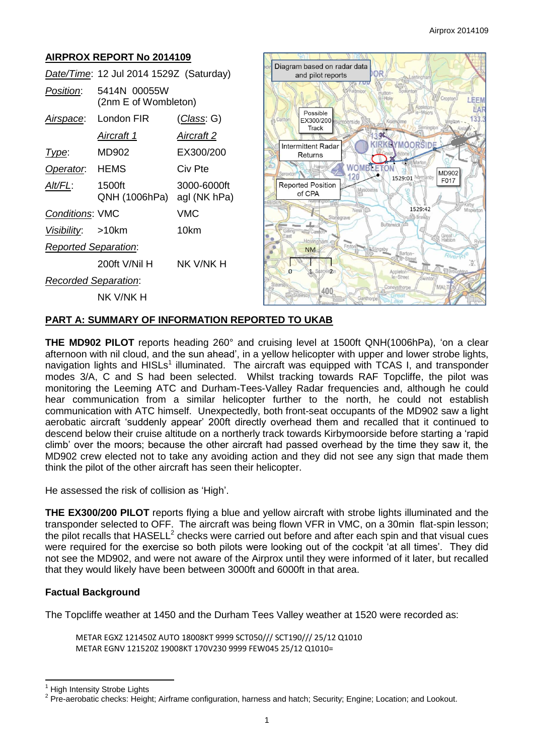## **AIRPROX REPORT No 2014109**

|                             | Date/Time: 12 Jul 2014 1529Z (Saturday) |                    |
|-----------------------------|-----------------------------------------|--------------------|
| Position:                   | 5414N 00055W<br>(2nm E of Wombleton)    |                    |
| Airspace:                   | London FIR                              | <u>(Class</u> : G) |
|                             | Aircraft 1                              | Aircraft 2         |
| Type:                       | MD902                                   | EX300/200          |
| Operator: HEMS              |                                         | Civ Pte            |
| Alt/FL:                     | 1500ft<br>QNH (1006hPa) agl (NK hPa)    | 3000-6000ft        |
| <b>Conditions: VMC</b>      |                                         | VMC                |
| Visibility: >10km           |                                         | 10km               |
| <b>Reported Separation:</b> |                                         |                    |
|                             | 200ft V/Nil H                           | NK V/NK H          |
| <b>Recorded Separation:</b> |                                         |                    |
|                             | NK V/NK H                               |                    |



#### **PART A: SUMMARY OF INFORMATION REPORTED TO UKAB**

**THE MD902 PILOT** reports heading 260° and cruising level at 1500ft QNH(1006hPa), 'on a clear afternoon with nil cloud, and the sun ahead', in a yellow helicopter with upper and lower strobe lights, navigation lights and HISLs<sup>1</sup> illuminated. The aircraft was equipped with TCAS I, and transponder modes 3/A, C and S had been selected. Whilst tracking towards RAF Topcliffe, the pilot was monitoring the Leeming ATC and Durham-Tees-Valley Radar frequencies and, although he could hear communication from a similar helicopter further to the north, he could not establish communication with ATC himself. Unexpectedly, both front-seat occupants of the MD902 saw a light aerobatic aircraft 'suddenly appear' 200ft directly overhead them and recalled that it continued to descend below their cruise altitude on a northerly track towards Kirbymoorside before starting a 'rapid climb' over the moors; because the other aircraft had passed overhead by the time they saw it, the MD902 crew elected not to take any avoiding action and they did not see any sign that made them think the pilot of the other aircraft has seen their helicopter.

He assessed the risk of collision as 'High'.

**THE EX300/200 PILOT** reports flying a blue and yellow aircraft with strobe lights illuminated and the transponder selected to OFF. The aircraft was being flown VFR in VMC, on a 30min flat-spin lesson; the pilot recalls that  $\mathsf{HASELL}^2$  checks were carried out before and after each spin and that visual cues were required for the exercise so both pilots were looking out of the cockpit 'at all times'. They did not see the MD902, and were not aware of the Airprox until they were informed of it later, but recalled that they would likely have been between 3000ft and 6000ft in that area.

### **Factual Background**

The Topcliffe weather at 1450 and the Durham Tees Valley weather at 1520 were recorded as:

METAR EGXZ 121450Z AUTO 18008KT 9999 SCT050/// SCT190/// 25/12 Q1010 METAR EGNV 121520Z 19008KT 170V230 9999 FEW045 25/12 Q1010=

 $\overline{\phantom{a}}$ 

**High Intensity Strobe Lights** 

<sup>&</sup>lt;sup>2</sup> Pre-aerobatic checks: Height; Airframe configuration, harness and hatch; Security; Engine; Location; and Lookout.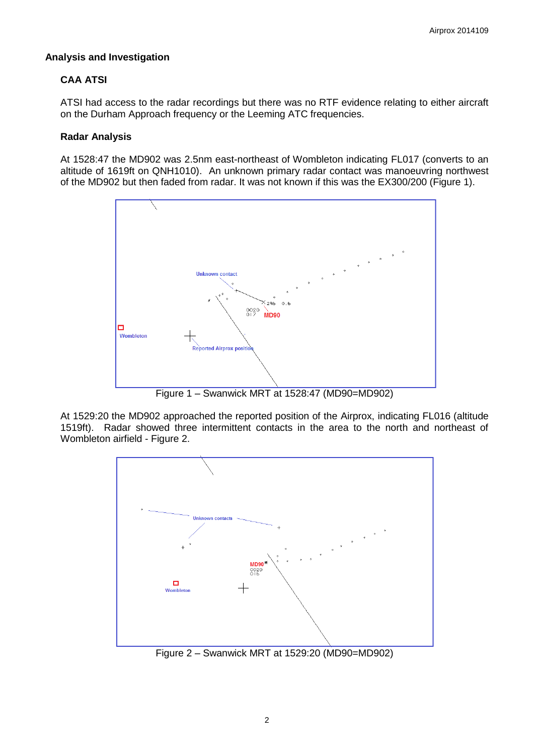## **Analysis and Investigation**

# **CAA ATSI**

ATSI had access to the radar recordings but there was no RTF evidence relating to either aircraft on the Durham Approach frequency or the Leeming ATC frequencies.

## **Radar Analysis**

At 1528:47 the MD902 was 2.5nm east-northeast of Wombleton indicating FL017 (converts to an altitude of 1619ft on QNH1010). An unknown primary radar contact was manoeuvring northwest of the MD902 but then faded from radar. It was not known if this was the EX300/200 (Figure 1).



Figure 1 – Swanwick MRT at 1528:47 (MD90=MD902)

At 1529:20 the MD902 approached the reported position of the Airprox, indicating FL016 (altitude 1519ft). Radar showed three intermittent contacts in the area to the north and northeast of Wombleton airfield - Figure 2.



Figure 2 – Swanwick MRT at 1529:20 (MD90=MD902)